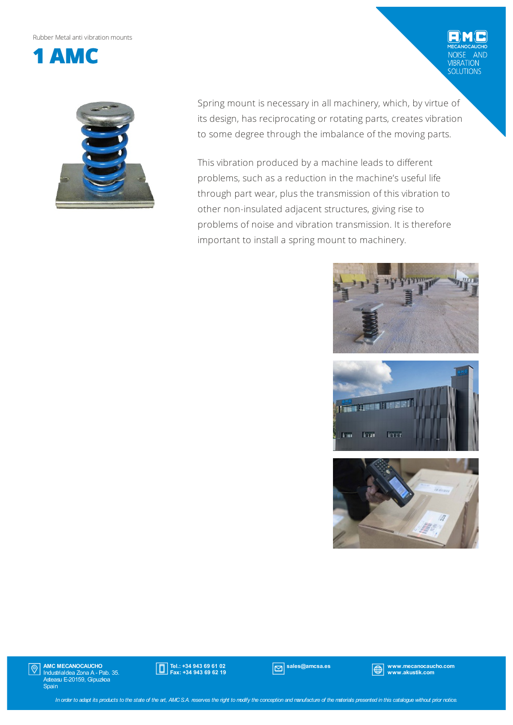Rubber Metalanti vibrationmounts



Spring mount is necessary in all machinery, which, by virtue of its design, has reciprocating or rotating parts, creates vibration to some degree through the imbalance of the moving parts.

This vibration produced by a machine leads to different problems, such as a reduction in the machine's useful life through part wear, plus the transmission of this vibration to other non-insulated adjacent structures, giving rise to problems of noise and vibration transmission. It is therefore important to install a spring mount to machinery.



NOISE AND<br>VIBRATION<br>SOLUTIONS





AMC MECANOCAUCHO Industrialdea Zona A - Pab. 35. Asteasu E-20159, Gipuzkoa Spain  $|\mathbb{Q}|$ 



sales@amcsa.es www.mecanocaucho.com www.akustik.com

In order to adapt its products to the state of the art, AMCS.A. reserves the right to modify the conception and manufacture of the materials presented in this catalogue without prior notice.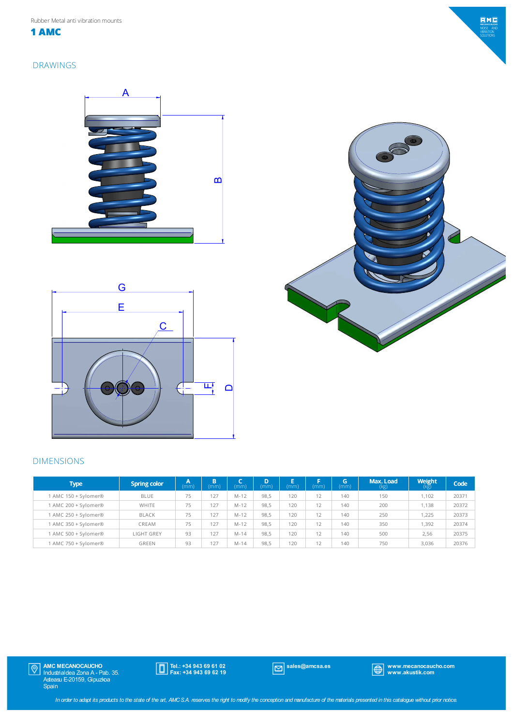**1 AMC**

### DRAWINGS







### DIMENSIONS

| <b>Type</b>          | <b>Spring color</b> | A.<br>(mm) | B<br>(mm) | (mm)     | D<br>(mm) | E<br>(mm) | п<br>(mm) | xБ<br>(mm) | Max. Load<br>(kg) | <b>Weight</b><br>(kg) | Code  |
|----------------------|---------------------|------------|-----------|----------|-----------|-----------|-----------|------------|-------------------|-----------------------|-------|
| 1 AMC 150 + Sylomer® | <b>BLUE</b>         | 75         | 127       | $M - 12$ | 98,5      | 120       | 12        | 140        | 150               | 1.102                 | 20371 |
| 1 AMC 200 + Sylomer® | <b>WHITE</b>        | 75         | 127       | $M - 12$ | 98.5      | 120       | 12        | 140        | 200               | 1.138                 | 20372 |
| 1 AMC 250 + Sylomer® | BLACK               | 75         | 127       | $M - 12$ | 98.5      | 120       | 12        | 140        | 250               | 1.225                 | 20373 |
| 1 AMC 350 + Sylomer® | CREAM               | 75         | 127       | $M - 12$ | 98.5      | 120       | 12        | 140        | 350               | 1.392                 | 20374 |
| 1 AMC 500 + Sylomer® | <b>LIGHT GREY</b>   | 93         | 127       | $M - 14$ | 98.5      | 120       | 12        | 140        | 500               | 2.56                  | 20375 |
| 1 AMC 750 + Sylomer® | GREEN               | 93         | 127       | $M - 14$ | 98,5      | 120       | 12        | 140        | 750               | 3.036                 | 20376 |

Tel.: +34 943 69 61 02 Fax: +34 943 69 62 19

sales@amcsa.es www.mecanocaucho.com www.akustik.com

In order to adapt its products to the state of the art, AMCSA reserves the right to modify the conception and manufacture of the materials presented in this catalogue without prior notice.

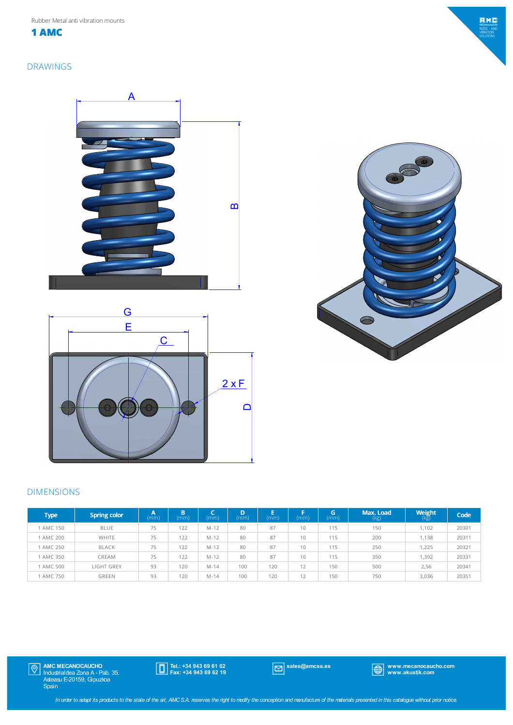Rubber Metal anti vibration mounts

**1 AMC**

### DRAWINGS







## DIMENSIONS

| <b>Type</b> | <b>Spring color</b> | А<br>(mm) | B<br>(mm) | (mm'     | D<br>(mm) | (mm) | (mm)                  | G.<br>(mm) | Max. Load<br>(kg) | Weight<br>(kg) | Code  |
|-------------|---------------------|-----------|-----------|----------|-----------|------|-----------------------|------------|-------------------|----------------|-------|
| 1 AMC 150   | <b>BLUE</b>         | 75        | 122       | M-12     | 80        | 87   | 10                    | 115        | 150               | 1.102          | 20301 |
| AMC 200     | WHITE               | 75        | 122       | M-12     | 80        | 87   | 10                    | 115        | 200               | 1,138          | 20311 |
| 1 AMC 250   | <b>BLACK</b>        | 75        | 122       | M-12     | 80        | 87   | 10                    | 115        | 250               | 1,225          | 20321 |
| 1 AMC 350   | CREAM               | 75        | 122       | M-12     | 80        | 87   | 10                    | 115        | 350               | 1,392          | 20331 |
| 1 AMC 500   | LIGHT GREY          | 93        | 120       | $M - 14$ | 100       | 120  | 12                    | 150        | 500               | 2,56           | 20341 |
| 1 AMC 750   | <b>GREEN</b>        | 93        | 120       | $M - 14$ | 100       | 120  | 1 <sub>2</sub><br>1 Z | 150        | 750               | 3,036          | 20351 |

Tel.: +34 943 69 61 02 Fax: +34 943 69 62 19

sales@amcsa.es www.mecanocaucho.com www.akustik.com

 $EMC$ ISE AIN<br>RATION<br>JUTIONS

In order to adapt its products to the state of the art, AMCS.A. reserves the right to modify the conception and manufacture of the materials presented in this catalogue without prior notice.